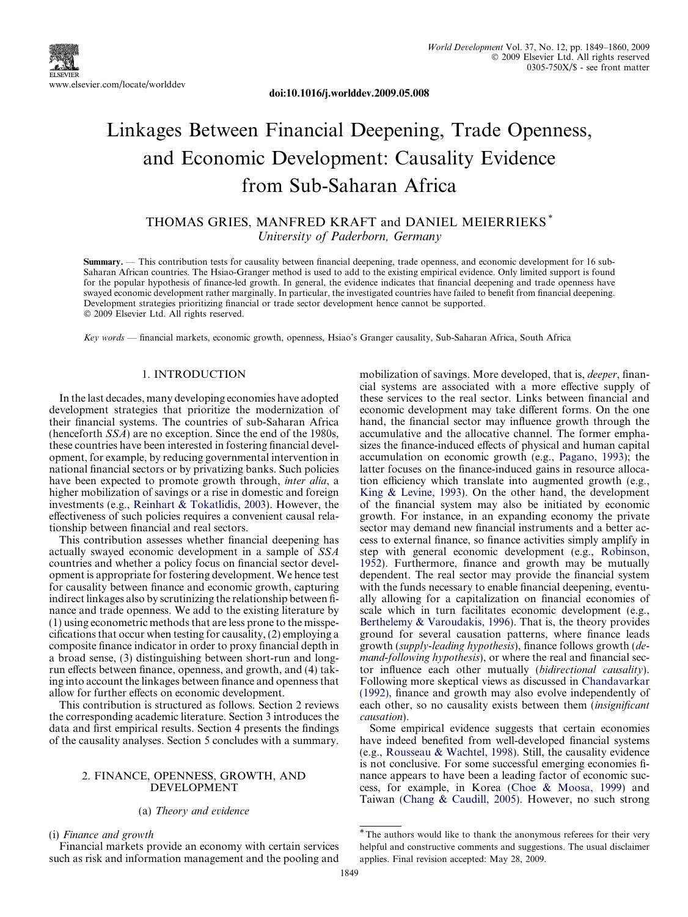

doi:10.1016/j.worlddev.2009.05.008

# Linkages Between Financial Deepening, Trade Openness, and Economic Development: Causality Evidence from Sub-Saharan Africa

## THOMAS GRIES, MANFRED KRAFT and DANIEL MEIERRIEKS \* University of Paderborn, Germany

Summary. — This contribution tests for causality between financial deepening, trade openness, and economic development for 16 sub-Saharan African countries. The Hsiao-Granger method is used to add to the existing empirical evidence. Only limited support is found for the popular hypothesis of finance-led growth. In general, the evidence indicates that financial deepening and trade openness have swayed economic development rather marginally. In particular, the investigated countries have failed to benefit from financial deepening. Development strategies prioritizing financial or trade sector development hence cannot be supported. © 2009 Elsevier Ltd. All rights reserved.

Key words — financial markets, economic growth, openness, Hsiao's Granger causality, Sub-Saharan Africa, South Africa

## 1. INTRODUCTION

In the last decades, many developing economies have adopted development strategies that prioritize the modernization of their financial systems. The countries of sub-Saharan Africa (henceforth SSA) are no exception. Since the end of the 1980s, these countries have been interested in fostering financial development, for example, by reducing governmental intervention in national financial sectors or by privatizing banks. Such policies have been expected to promote growth through, inter alia, a higher mobilization of savings or a rise in domestic and foreign investments (e.g., [Reinhart & Tokatlidis, 2003](#page--1-0)). However, the effectiveness of such policies requires a convenient causal relationship between financial and real sectors.

This contribution assesses whether financial deepening has actually swayed economic development in a sample of SSA countries and whether a policy focus on financial sector development is appropriate for fostering development. We hence test for causality between finance and economic growth, capturing indirect linkages also by scrutinizing the relationship between finance and trade openness. We add to the existing literature by (1) using econometric methods that are less prone to the misspecifications that occur when testing for causality, (2) employing a composite finance indicator in order to proxy financial depth in a broad sense, (3) distinguishing between short-run and longrun effects between finance, openness, and growth, and (4) taking into account the linkages between finance and openness that allow for further effects on economic development.

This contribution is structured as follows. Section 2 reviews the corresponding academic literature. Section 3 introduces the data and first empirical results. Section 4 presents the findings of the causality analyses. Section 5 concludes with a summary.

### 2. FINANCE, OPENNESS, GROWTH, AND DEVELOPMENT

## (a) Theory and evidence

(i) Finance and growth

Financial markets provide an economy with certain services such as risk and information management and the pooling and mobilization of savings. More developed, that is, *deeper*, financial systems are associated with a more effective supply of these services to the real sector. Links between financial and economic development may take different forms. On the one hand, the financial sector may influence growth through the accumulative and the allocative channel. The former emphasizes the finance-induced effects of physical and human capital accumulation on economic growth (e.g., [Pagano, 1993](#page--1-0)); the latter focuses on the finance-induced gains in resource allocation efficiency which translate into augmented growth (e.g., [King & Levine, 1993\)](#page--1-0). On the other hand, the development of the financial system may also be initiated by economic growth. For instance, in an expanding economy the private sector may demand new financial instruments and a better access to external finance, so finance activities simply amplify in step with general economic development (e.g., [Robinson,](#page--1-0) [1952](#page--1-0)). Furthermore, finance and growth may be mutually dependent. The real sector may provide the financial system with the funds necessary to enable financial deepening, eventually allowing for a capitalization on financial economies of scale which in turn facilitates economic development (e.g., [Berthelemy & Varoudakis, 1996\)](#page--1-0). That is, the theory provides ground for several causation patterns, where finance leads growth (supply-leading hypothesis), finance follows growth (demand-following hypothesis), or where the real and financial sector influence each other mutually (bidirectional causality). Following more skeptical views as discussed in [Chandavarkar](#page--1-0) [\(1992\),](#page--1-0) finance and growth may also evolve independently of each other, so no causality exists between them (insignificant causation).

Some empirical evidence suggests that certain economies have indeed benefited from well-developed financial systems (e.g., [Rousseau & Wachtel, 1998](#page--1-0)). Still, the causality evidence is not conclusive. For some successful emerging economies finance appears to have been a leading factor of economic success, for example, in Korea ([Choe & Moosa, 1999](#page--1-0)) and Taiwan [\(Chang & Caudill, 2005\)](#page--1-0). However, no such strong

<sup>\*</sup>The authors would like to thank the anonymous referees for their very helpful and constructive comments and suggestions. The usual disclaimer applies. Final revision accepted: May 28, 2009.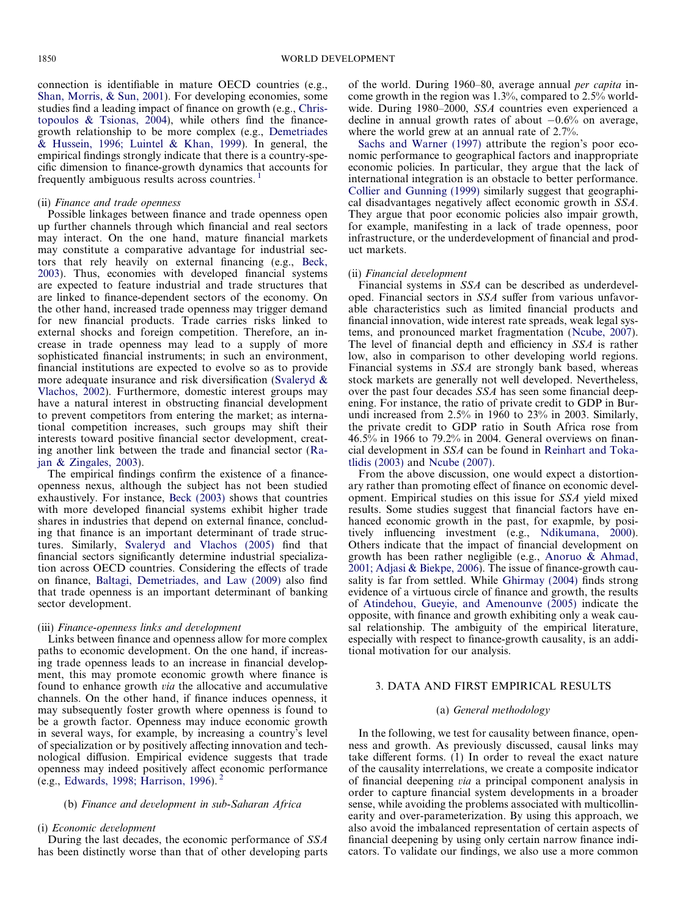connection is identifiable in mature OECD countries (e.g., [Shan, Morris, & Sun, 2001](#page--1-0)). For developing economies, some studies find a leading impact of finance on growth (e.g., [Chris](#page--1-0)[topoulos & Tsionas, 2004\)](#page--1-0), while others find the financegrowth relationship to be more complex (e.g., [Demetriades](#page--1-0)  $\&$  Hussein, 1996; Luintel  $\&$  Khan, 1999). In general, the empirical findings strongly indicate that there is a country-specific dimension to finance-growth dynamics that accounts for frequently ambiguous results across countries. <sup>1</sup>

#### (ii) Finance and trade openness

Possible linkages between finance and trade openness open up further channels through which financial and real sectors may interact. On the one hand, mature financial markets may constitute a comparative advantage for industrial sectors that rely heavily on external financing (e.g., [Beck,](#page--1-0) [2003\)](#page--1-0). Thus, economies with developed financial systems are expected to feature industrial and trade structures that are linked to finance-dependent sectors of the economy. On the other hand, increased trade openness may trigger demand for new financial products. Trade carries risks linked to external shocks and foreign competition. Therefore, an increase in trade openness may lead to a supply of more sophisticated financial instruments; in such an environment, financial institutions are expected to evolve so as to provide more adequate insurance and risk diversification [\(Svaleryd &](#page--1-0) [Vlachos, 2002\)](#page--1-0). Furthermore, domestic interest groups may have a natural interest in obstructing financial development to prevent competitors from entering the market; as international competition increases, such groups may shift their interests toward positive financial sector development, creating another link between the trade and financial sector ([Ra](#page--1-0)[jan & Zingales, 2003](#page--1-0)).

The empirical findings confirm the existence of a financeopenness nexus, although the subject has not been studied exhaustively. For instance, [Beck \(2003\)](#page--1-0) shows that countries with more developed financial systems exhibit higher trade shares in industries that depend on external finance, concluding that finance is an important determinant of trade structures. Similarly, [Svaleryd and Vlachos \(2005\)](#page--1-0) find that financial sectors significantly determine industrial specialization across OECD countries. Considering the effects of trade on finance, [Baltagi, Demetriades, and Law \(2009\)](#page--1-0) also find that trade openness is an important determinant of banking sector development.

#### (iii) Finance-openness links and development

Links between finance and openness allow for more complex paths to economic development. On the one hand, if increasing trade openness leads to an increase in financial development, this may promote economic growth where finance is found to enhance growth via the allocative and accumulative channels. On the other hand, if finance induces openness, it may subsequently foster growth where openness is found to be a growth factor. Openness may induce economic growth in several ways, for example, by increasing a country's level of specialization or by positively affecting innovation and technological diffusion. Empirical evidence suggests that trade openness may indeed positively affect economic performance (e.g., [Edwards, 1998; Harrison, 1996\)](#page--1-0). <sup>2</sup>

## (b) Finance and development in sub-Saharan Africa

#### (i) Economic development

During the last decades, the economic performance of SSA has been distinctly worse than that of other developing parts of the world. During 1960–80, average annual per capita income growth in the region was 1.3%, compared to 2.5% worldwide. During 1980–2000, SSA countries even experienced a decline in annual growth rates of about  $-0.6\%$  on average, where the world grew at an annual rate of 2.7%.

[Sachs and Warner \(1997\)](#page--1-0) attribute the region's poor economic performance to geographical factors and inappropriate economic policies. In particular, they argue that the lack of international integration is an obstacle to better performance. [Collier and Gunning \(1999\)](#page--1-0) similarly suggest that geographical disadvantages negatively affect economic growth in SSA. They argue that poor economic policies also impair growth, for example, manifesting in a lack of trade openness, poor infrastructure, or the underdevelopment of financial and product markets.

#### (ii) Financial development

Financial systems in SSA can be described as underdeveloped. Financial sectors in SSA suffer from various unfavorable characteristics such as limited financial products and financial innovation, wide interest rate spreads, weak legal systems, and pronounced market fragmentation [\(Ncube, 2007](#page--1-0)). The level of financial depth and efficiency in SSA is rather low, also in comparison to other developing world regions. Financial systems in SSA are strongly bank based, whereas stock markets are generally not well developed. Nevertheless, over the past four decades SSA has seen some financial deepening. For instance, the ratio of private credit to GDP in Burundi increased from 2.5% in 1960 to 23% in 2003. Similarly, the private credit to GDP ratio in South Africa rose from  $46.5\%$  in 1966 to 79.2% in 2004. General overviews on financial development in SSA can be found in [Reinhart and Toka](#page--1-0)[tlidis \(2003\)](#page--1-0) and [Ncube \(2007\)](#page--1-0).

From the above discussion, one would expect a distortionary rather than promoting effect of finance on economic development. Empirical studies on this issue for SSA yield mixed results. Some studies suggest that financial factors have enhanced economic growth in the past, for exapmle, by positively influencing investment (e.g., [Ndikumana, 2000](#page--1-0)). Others indicate that the impact of financial development on growth has been rather negligible (e.g., [Anoruo & Ahmad,](#page--1-0) [2001; Adjasi & Biekpe, 2006\)](#page--1-0). The issue of finance-growth causality is far from settled. While [Ghirmay \(2004\)](#page--1-0) finds strong evidence of a virtuous circle of finance and growth, the results of [Atindehou, Gueyie, and Amenounve \(2005\)](#page--1-0) indicate the opposite, with finance and growth exhibiting only a weak causal relationship. The ambiguity of the empirical literature, especially with respect to finance-growth causality, is an additional motivation for our analysis.

### 3. DATA AND FIRST EMPIRICAL RESULTS

#### (a) General methodology

In the following, we test for causality between finance, openness and growth. As previously discussed, causal links may take different forms. (1) In order to reveal the exact nature of the causality interrelations, we create a composite indicator of financial deepening via a principal component analysis in order to capture financial system developments in a broader sense, while avoiding the problems associated with multicollinearity and over-parameterization. By using this approach, we also avoid the imbalanced representation of certain aspects of financial deepening by using only certain narrow finance indicators. To validate our findings, we also use a more common